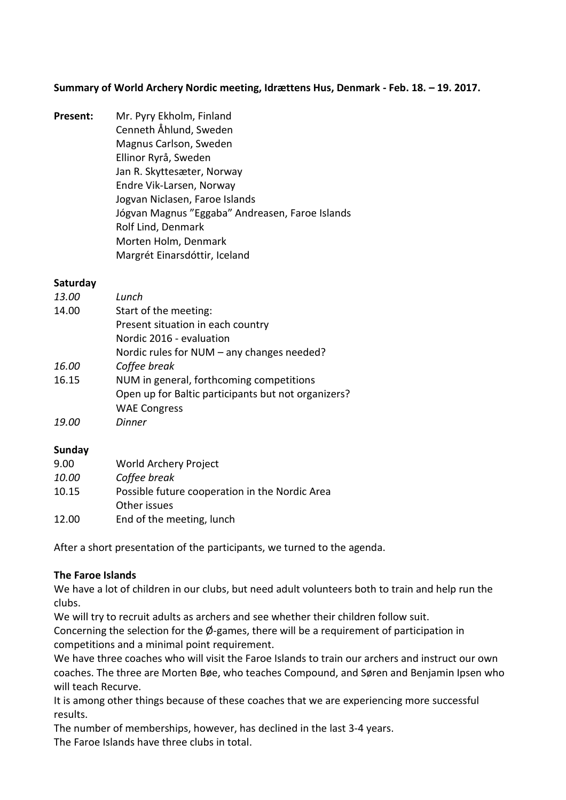**Summary of World Archery Nordic meeting, Idrættens Hus, Denmark - Feb. 18. – 19. 2017.** 

**Present:** Mr. Pyry Ekholm, Finland Cenneth Åhlund, Sweden Magnus Carlson, Sweden Ellinor Ryrå, Sweden Jan R. Skyttesæter, Norway Endre Vik-Larsen, Norway Jogvan Niclasen, Faroe Islands Jógvan Magnus "Eggaba" Andreasen, Faroe Islands Rolf Lind, Denmark Morten Holm, Denmark Margrét Einarsdóttir, Iceland

#### **Saturday**

| <i>13.00</i> | Lunch                                               |
|--------------|-----------------------------------------------------|
| 14.00        | Start of the meeting:                               |
|              | Present situation in each country                   |
|              | Nordic 2016 - evaluation                            |
|              | Nordic rules for NUM - any changes needed?          |
| 16.00        | Coffee break                                        |
| 16.15        | NUM in general, forthcoming competitions            |
|              | Open up for Baltic participants but not organizers? |
|              | <b>WAE Congress</b>                                 |
| 19.O         | Dinner                                              |

### **Sunday**

| 9.00  | World Archery Project                          |
|-------|------------------------------------------------|
| 10.00 | Coffee break                                   |
| 10.15 | Possible future cooperation in the Nordic Area |
|       | Other issues                                   |
| 12.00 | End of the meeting, lunch                      |

After a short presentation of the participants, we turned to the agenda.

### **The Faroe Islands**

We have a lot of children in our clubs, but need adult volunteers both to train and help run the clubs.

We will try to recruit adults as archers and see whether their children follow suit.

Concerning the selection for the  $\varnothing$ -games, there will be a requirement of participation in competitions and a minimal point requirement.

We have three coaches who will visit the Faroe Islands to train our archers and instruct our own coaches. The three are Morten Bøe, who teaches Compound, and Søren and Benjamin Ipsen who will teach Recurve.

It is among other things because of these coaches that we are experiencing more successful results.

The number of memberships, however, has declined in the last 3-4 years.

The Faroe Islands have three clubs in total.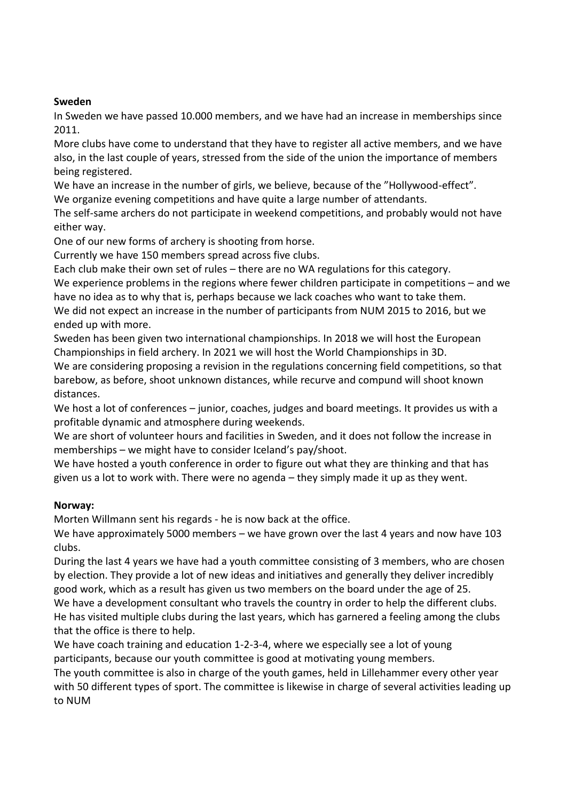#### **Sweden**

In Sweden we have passed 10.000 members, and we have had an increase in memberships since 2011.

More clubs have come to understand that they have to register all active members, and we have also, in the last couple of years, stressed from the side of the union the importance of members being registered.

We have an increase in the number of girls, we believe, because of the "Hollywood-effect".

We organize evening competitions and have quite a large number of attendants.

The self-same archers do not participate in weekend competitions, and probably would not have either way.

One of our new forms of archery is shooting from horse.

Currently we have 150 members spread across five clubs.

Each club make their own set of rules – there are no WA regulations for this category.

We experience problems in the regions where fewer children participate in competitions – and we have no idea as to why that is, perhaps because we lack coaches who want to take them.

We did not expect an increase in the number of participants from NUM 2015 to 2016, but we ended up with more.

Sweden has been given two international championships. In 2018 we will host the European Championships in field archery. In 2021 we will host the World Championships in 3D.

We are considering proposing a revision in the regulations concerning field competitions, so that barebow, as before, shoot unknown distances, while recurve and compund will shoot known distances.

We host a lot of conferences – junior, coaches, judges and board meetings. It provides us with a profitable dynamic and atmosphere during weekends.

We are short of volunteer hours and facilities in Sweden, and it does not follow the increase in memberships – we might have to consider Iceland's pay/shoot.

We have hosted a youth conference in order to figure out what they are thinking and that has given us a lot to work with. There were no agenda – they simply made it up as they went.

### **Norway:**

Morten Willmann sent his regards - he is now back at the office.

We have approximately 5000 members – we have grown over the last 4 years and now have 103 clubs.

During the last 4 years we have had a youth committee consisting of 3 members, who are chosen by election. They provide a lot of new ideas and initiatives and generally they deliver incredibly good work, which as a result has given us two members on the board under the age of 25.

We have a development consultant who travels the country in order to help the different clubs. He has visited multiple clubs during the last years, which has garnered a feeling among the clubs that the office is there to help.

We have coach training and education 1-2-3-4, where we especially see a lot of young participants, because our youth committee is good at motivating young members.

The youth committee is also in charge of the youth games, held in Lillehammer every other year with 50 different types of sport. The committee is likewise in charge of several activities leading up to NUM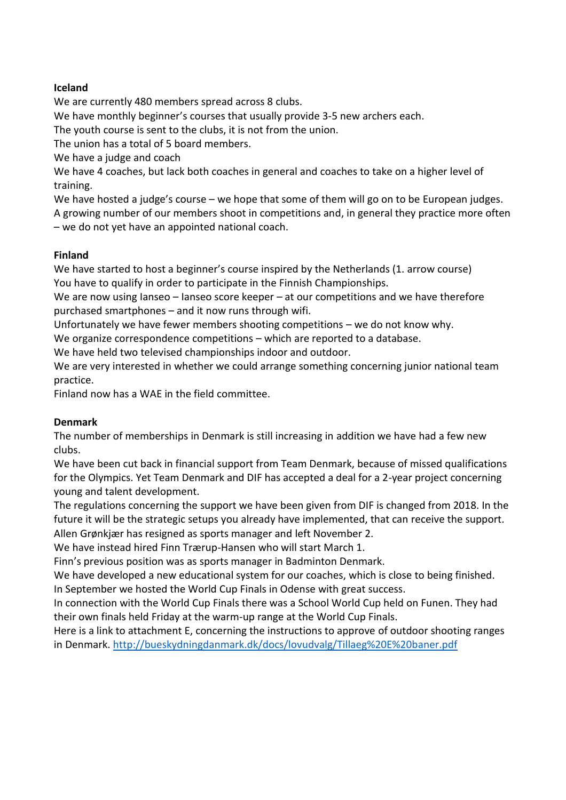#### **Iceland**

We are currently 480 members spread across 8 clubs.

We have monthly beginner's courses that usually provide 3-5 new archers each.

The youth course is sent to the clubs, it is not from the union.

The union has a total of 5 board members.

We have a judge and coach

We have 4 coaches, but lack both coaches in general and coaches to take on a higher level of training.

We have hosted a judge's course – we hope that some of them will go on to be European judges. A growing number of our members shoot in competitions and, in general they practice more often – we do not yet have an appointed national coach.

### **Finland**

We have started to host a beginner's course inspired by the Netherlands (1. arrow course) You have to qualify in order to participate in the Finnish Championships.

We are now using Ianseo – Ianseo score keeper – at our competitions and we have therefore purchased smartphones – and it now runs through wifi.

Unfortunately we have fewer members shooting competitions – we do not know why.

We organize correspondence competitions – which are reported to a database.

We have held two televised championships indoor and outdoor.

We are very interested in whether we could arrange something concerning junior national team practice.

Finland now has a WAE in the field committee.

### **Denmark**

The number of memberships in Denmark is still increasing in addition we have had a few new clubs.

We have been cut back in financial support from Team Denmark, because of missed qualifications for the Olympics. Yet Team Denmark and DIF has accepted a deal for a 2-year project concerning young and talent development.

The regulations concerning the support we have been given from DIF is changed from 2018. In the future it will be the strategic setups you already have implemented, that can receive the support.

Allen Grønkjær has resigned as sports manager and left November 2.

We have instead hired Finn Trærup-Hansen who will start March 1.

Finn's previous position was as sports manager in Badminton Denmark.

We have developed a new educational system for our coaches, which is close to being finished. In September we hosted the World Cup Finals in Odense with great success.

In connection with the World Cup Finals there was a School World Cup held on Funen. They had their own finals held Friday at the warm-up range at the World Cup Finals.

Here is a link to attachment E, concerning the instructions to approve of outdoor shooting ranges in Denmark.<http://bueskydningdanmark.dk/docs/lovudvalg/Tillaeg%20E%20baner.pdf>